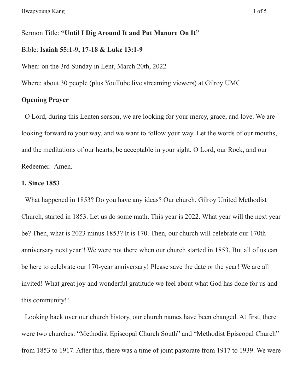Sermon Title: **"Until I Dig Around It and Put Manure On It"**

#### Bible: **Isaiah 55:1-9, 17-18 & Luke 13:1-9**

When: on the 3rd Sunday in Lent, March 20th, 2022

Where: about 30 people (plus YouTube live streaming viewers) at Gilroy UMC

# **Opening Prayer**

O Lord, during this Lenten season, we are looking for your mercy, grace, and love. We are looking forward to your way, and we want to follow your way. Let the words of our mouths, and the meditations of our hearts, be acceptable in your sight, O Lord, our Rock, and our Redeemer. Amen.

## **1. Since 1853**

What happened in 1853? Do you have any ideas? Our church, Gilroy United Methodist Church, started in 1853. Let us do some math. This year is 2022. What year will the next year be? Then, what is 2023 minus 1853? It is 170. Then, our church will celebrate our 170th anniversary next year!! We were not there when our church started in 1853. But all of us can be here to celebrate our 170-year anniversary! Please save the date or the year! We are all invited! What great joy and wonderful gratitude we feel about what God has done for us and this community!!

Looking back over our church history, our church names have been changed. At first, there were two churches: "Methodist Episcopal Church South" and "Methodist Episcopal Church" from 1853 to 1917. After this, there was a time of joint pastorate from 1917 to 1939. We were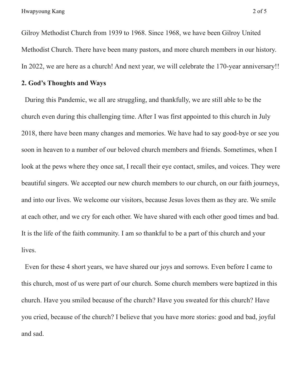Hwapyoung Kang 2 of 5

Gilroy Methodist Church from 1939 to 1968. Since 1968, we have been Gilroy United Methodist Church. There have been many pastors, and more church members in our history. In 2022, we are here as a church! And next year, we will celebrate the 170-year anniversary!!

### **2. God's Thoughts and Ways**

During this Pandemic, we all are struggling, and thankfully, we are still able to be the church even during this challenging time. After I was first appointed to this church in July 2018, there have been many changes and memories. We have had to say good-bye or see you soon in heaven to a number of our beloved church members and friends. Sometimes, when I look at the pews where they once sat, I recall their eye contact, smiles, and voices. They were beautiful singers. We accepted our new church members to our church, on our faith journeys, and into our lives. We welcome our visitors, because Jesus loves them as they are. We smile at each other, and we cry for each other. We have shared with each other good times and bad. It is the life of the faith community. I am so thankful to be a part of this church and your lives.

Even for these 4 short years, we have shared our joys and sorrows. Even before I came to this church, most of us were part of our church. Some church members were baptized in this church. Have you smiled because of the church? Have you sweated for this church? Have you cried, because of the church? I believe that you have more stories: good and bad, joyful and sad.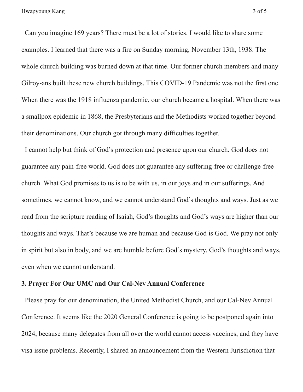Can you imagine 169 years? There must be a lot of stories. I would like to share some examples. I learned that there was a fire on Sunday morning, November 13th, 1938. The whole church building was burned down at that time. Our former church members and many Gilroy-ans built these new church buildings. This COVID-19 Pandemic was not the first one. When there was the 1918 influenza pandemic, our church became a hospital. When there was a smallpox epidemic in 1868, the Presbyterians and the Methodists worked together beyond their denominations. Our church got through many difficulties together.

I cannot help but think of God's protection and presence upon our church. God does not guarantee any pain-free world. God does not guarantee any suffering-free or challenge-free church. What God promises to us is to be with us, in our joys and in our sufferings. And sometimes, we cannot know, and we cannot understand God's thoughts and ways. Just as we read from the scripture reading of Isaiah, God's thoughts and God's ways are higher than our thoughts and ways. That's because we are human and because God is God. We pray not only in spirit but also in body, and we are humble before God's mystery, God's thoughts and ways, even when we cannot understand.

## **3. Prayer For Our UMC and Our Cal-Nev Annual Conference**

Please pray for our denomination, the United Methodist Church, and our Cal-Nev Annual Conference. It seems like the 2020 General Conference is going to be postponed again into 2024, because many delegates from all over the world cannot access vaccines, and they have visa issue problems. Recently, I shared an announcement from the Western Jurisdiction that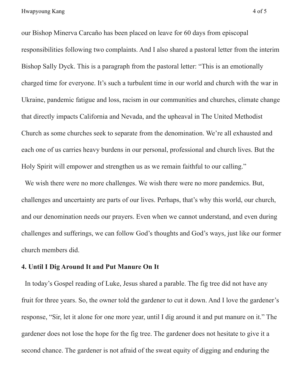our Bishop Minerva Carcaño has been placed on leave for 60 days from episcopal responsibilities following two complaints. And I also shared a pastoral letter from the interim Bishop Sally Dyck. This is a paragraph from the pastoral letter: "This is an emotionally charged time for everyone. It's such a turbulent time in our world and church with the war in Ukraine, pandemic fatigue and loss, racism in our communities and churches, climate change that directly impacts California and Nevada, and the upheaval in The United Methodist Church as some churches seek to separate from the denomination. We're all exhausted and each one of us carries heavy burdens in our personal, professional and church lives. But the Holy Spirit will empower and strengthen us as we remain faithful to our calling."

We wish there were no more challenges. We wish there were no more pandemics. But, challenges and uncertainty are parts of our lives. Perhaps, that's why this world, our church, and our denomination needs our prayers. Even when we cannot understand, and even during challenges and sufferings, we can follow God's thoughts and God's ways, just like our former church members did.

#### **4. Until I Dig Around It and Put Manure On It**

In today's Gospel reading of Luke, Jesus shared a parable. The fig tree did not have any fruit for three years. So, the owner told the gardener to cut it down. And I love the gardener's response, "Sir, let it alone for one more year, until I dig around it and put manure on it." The gardener does not lose the hope for the fig tree. The gardener does not hesitate to give it a second chance. The gardener is not afraid of the sweat equity of digging and enduring the